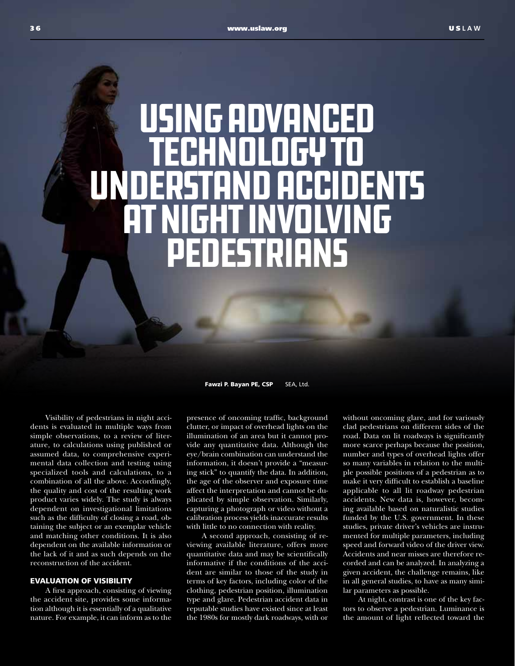## Using Advanced Technology to Understand Accidents at Night Involving Pedestrians

Fawzi P. Bayan PE, CSP SEA, Ltd.

Visibility of pedestrians in night accidents is evaluated in multiple ways from simple observations, to a review of literature, to calculations using published or assumed data, to comprehensive experimental data collection and testing using specialized tools and calculations, to a combination of all the above. Accordingly, the quality and cost of the resulting work product varies widely. The study is always dependent on investigational limitations such as the difficulty of closing a road, obtaining the subject or an exemplar vehicle and matching other conditions. It is also dependent on the available information or the lack of it and as such depends on the reconstruction of the accident.

## EVALUATION OF VISIBILITY

A first approach, consisting of viewing the accident site, provides some information although it is essentially of a qualitative nature. For example, it can inform as to the

presence of oncoming traffic, background clutter, or impact of overhead lights on the illumination of an area but it cannot provide any quantitative data. Although the eye/brain combination can understand the information, it doesn't provide a "measuring stick" to quantify the data. In addition, the age of the observer and exposure time affect the interpretation and cannot be duplicated by simple observation. Similarly, capturing a photograph or video without a calibration process yields inaccurate results with little to no connection with reality.

A second approach, consisting of reviewing available literature, offers more quantitative data and may be scientifically informative if the conditions of the accident are similar to those of the study in terms of key factors, including color of the clothing, pedestrian position, illumination type and glare. Pedestrian accident data in reputable studies have existed since at least the 1980s for mostly dark roadways, with or

without oncoming glare, and for variously clad pedestrians on different sides of the road. Data on lit roadways is significantly more scarce perhaps because the position, number and types of overhead lights offer so many variables in relation to the multiple possible positions of a pedestrian as to make it very difficult to establish a baseline applicable to all lit roadway pedestrian accidents. New data is, however, becoming available based on naturalistic studies funded by the U.S. government. In these studies, private driver's vehicles are instrumented for multiple parameters, including speed and forward video of the driver view. Accidents and near misses are therefore recorded and can be analyzed. In analyzing a given accident, the challenge remains, like in all general studies, to have as many similar parameters as possible.

At night, contrast is one of the key factors to observe a pedestrian. Luminance is the amount of light reflected toward the